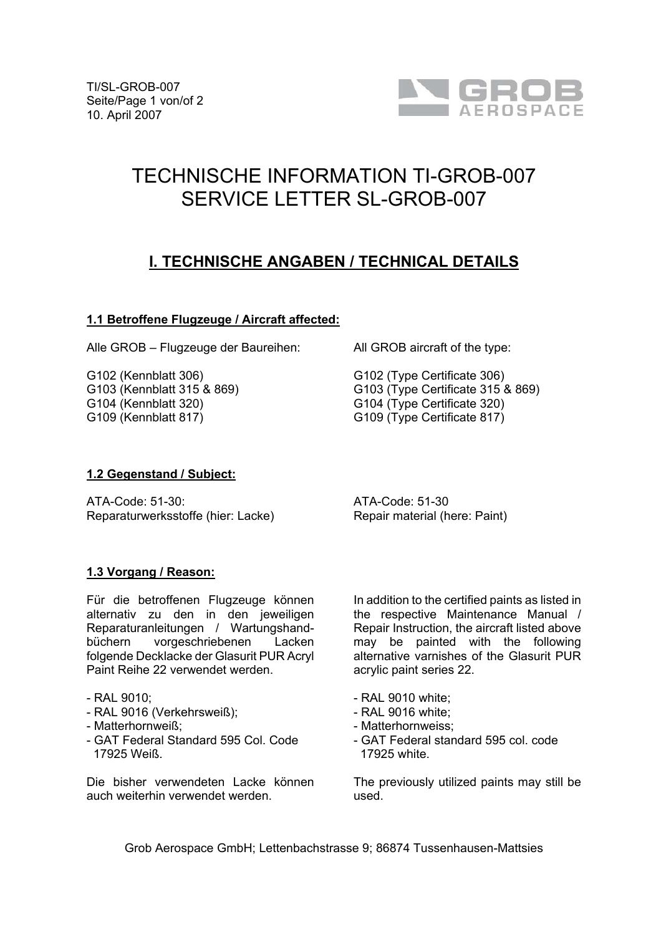

# TECHNISCHE INFORMATION TI-GROB-007 SERVICE LETTER SL-GROB-007

## **I. TECHNISCHE ANGABEN / TECHNICAL DETAILS**

#### **1.1 Betroffene Flugzeuge / Aircraft affected:**

Alle GROB – Flugzeuge der Baureihen:

G102 (Kennblatt 306) G103 (Kennblatt 315 & 869) G104 (Kennblatt 320) G109 (Kennblatt 817)

All GROB aircraft of the type:

G102 (Type Certificate 306) G103 (Type Certificate 315 & 869) G104 (Type Certificate 320) G109 (Type Certificate 817)

#### **1.2 Gegenstand / Subject:**

ATA-Code: 51-30: Reparaturwerksstoffe (hier: Lacke) ATA-Code: 51-30 Repair material (here: Paint)

#### **1.3 Vorgang / Reason:**

Für die betroffenen Flugzeuge können alternativ zu den in den jeweiligen Reparaturanleitungen / Wartungshandbüchern vorgeschriebenen Lacken folgende Decklacke der Glasurit PUR Acryl Paint Reihe 22 verwendet werden.

#### - RAL 9010;

- RAL 9016 (Verkehrsweiß);
- Matterhornweiß;
- GAT Federal Standard 595 Col. Code 17925 Weiß.

Die bisher verwendeten Lacke können auch weiterhin verwendet werden.

In addition to the certified paints as listed in the respective Maintenance Manual / Repair Instruction, the aircraft listed above may be painted with the following alternative varnishes of the Glasurit PUR acrylic paint series 22.

- RAL 9010 white;
- RAL 9016 white;
- Matterhornweiss;
- GAT Federal standard 595 col. code 17925 white.

The previously utilized paints may still be used.

Grob Aerospace GmbH; Lettenbachstrasse 9; 86874 Tussenhausen-Mattsies